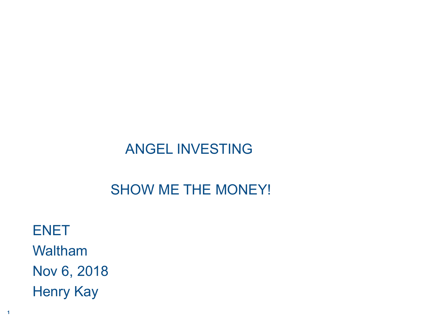### ANGEL INVESTING

### SHOW ME THE MONEY!

ENET Waltham Nov 6, 2018 Henry Kay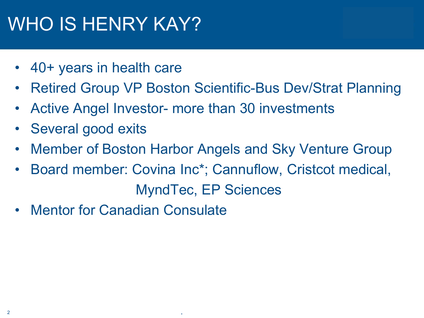# WHO IS HENRY KAY?

- 40+ years in health care
- Retired Group VP Boston Scientific-Bus Dev/Strat Planning
- Active Angel Investor- more than 30 investments

- Several good exits
- Member of Boston Harbor Angels and Sky Venture Group
- Board member: Covina Inc\*; Cannuflow, Cristcot medical, MyndTec, EP Sciences
- **Mentor for Canadian Consulate**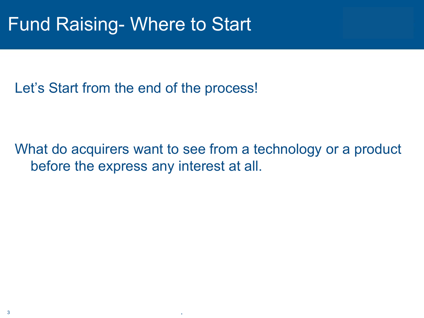## Fund Raising- Where to Start

Let's Start from the end of the process!

What do acquirers want to see from a technology or a product before the express any interest at all.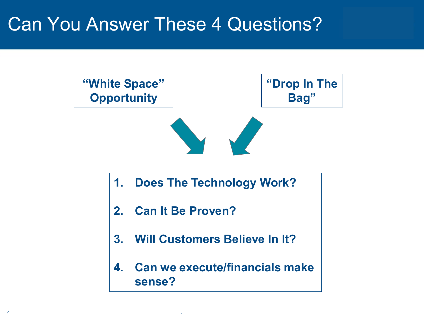## Can You Answer These 4 Questions?

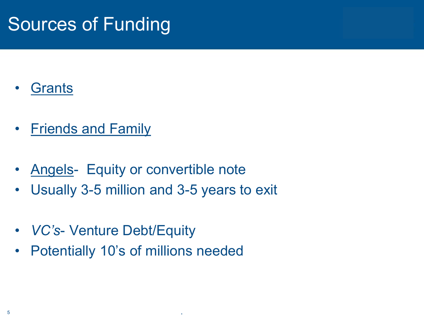## Sources of Funding

- **Grants**
- Friends and Family
- Angels- Equity or convertible note
- Usually 3-5 million and 3-5 years to exit

- *VC's* Venture Debt/Equity
- Potentially 10's of millions needed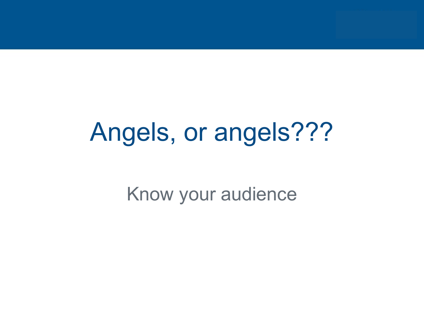# Angels, or angels???

Know your audience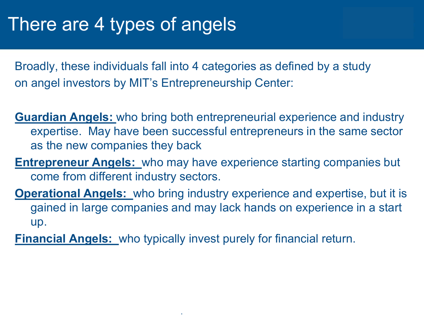## There are 4 types of angels

Broadly, these individuals fall into 4 categories as defined by a study on angel investors by MIT's Entrepreneurship Center:

- **Guardian Angels:** who bring both entrepreneurial experience and industry expertise. May have been successful entrepreneurs in the same sector as the new companies they back
- **Entrepreneur Angels:** who may have experience starting companies but come from different industry sectors.
- **Operational Angels:** who bring industry experience and expertise, but it is gained in large companies and may lack hands on experience in a start up.
- **Financial Angels:** who typically invest purely for financial return.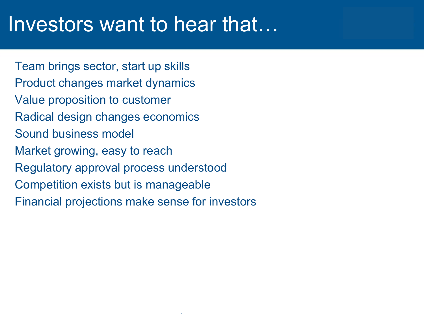# Investors want to hear that…

Team brings sector, start up skills Product changes market dynamics Value proposition to customer Radical design changes economics Sound business model Market growing, easy to reach Regulatory approval process understood Competition exists but is manageable Financial projections make sense for investors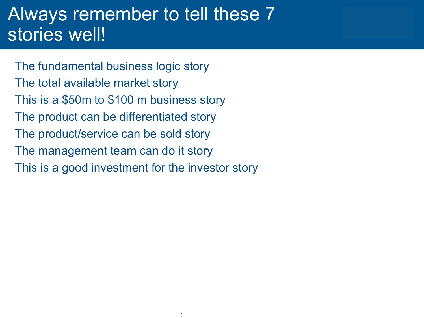### Always remember to tell these 7 stories well!

The fundamental business logic story The total available market story This is a \$50m to \$100 m business story The product can be differentiated story The product/service can be sold story The management team can do it story This is a good investment for the investor story